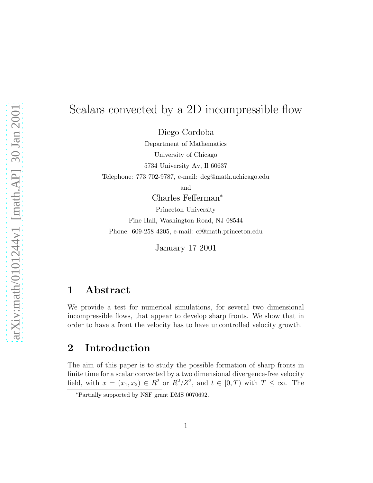# Scalars convected by a 2D incompressible flow

Diego Cordoba

Department of Mathematics University of Chicago 5734 University Av, Il 60637 Telephone: 773 702-9787, e-mail: dcg@math.uchicago.edu

and

Charles Fefferman<sup>∗</sup>

Princeton University

Fine Hall, Washington Road, NJ 08544

Phone: 609-258 4205, e-mail: cf@math.princeton.edu

January 17 2001

#### 1 Abstract

We provide a test for numerical simulations, for several two dimensional incompressible flows, that appear to develop sharp fronts. We show that in order to have a front the velocity has to have uncontrolled velocity growth.

## 2 Introduction

The aim of this paper is to study the possible formation of sharp fronts in finite time for a scalar convected by a two dimensional divergence-free velocity field, with  $x = (x_1, x_2) \in R^2$  or  $R^2/Z^2$ , and  $t \in [0, T)$  with  $T \leq \infty$ . The

<sup>∗</sup>Partially supported by NSF grant DMS 0070692.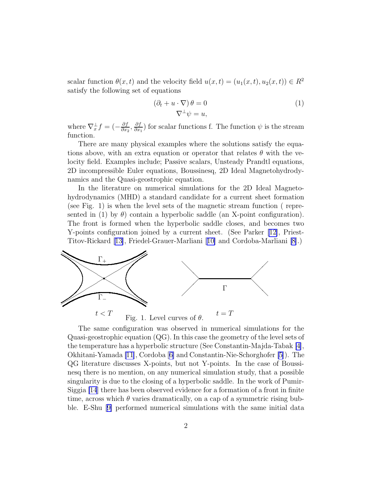scalar function  $\theta(x, t)$  and the velocity field  $u(x, t) = (u_1(x, t), u_2(x, t)) \in R^2$ satisfy the following set of equations

$$
(\partial_t + u \cdot \nabla) \theta = 0
$$
  

$$
\nabla^{\perp} \psi = u,
$$
 (1)

where  $\nabla_x^{\perp} f = \left(-\frac{\partial f}{\partial x} \right)$  $\frac{\partial f}{\partial x_2}, \frac{\partial f}{\partial x}$  $\frac{\partial J}{\partial x_1}$  for scalar functions f. The function  $\psi$  is the stream function.

There are many physical examples where the solutions satisfy the equations above, with an extra equation or operator that relates  $\theta$  with the velocity field. Examples include; Passive scalars, Unsteady Prandtl equations, 2D incompressible Euler equations, Boussinesq, 2D Ideal Magnetohydrodynamics and the Quasi-geostrophic equation.

In the literature on numerical simulations for the 2D Ideal Magnetohydrodynamics (MHD) a standard candidate for a current sheet formation (see Fig. 1) is when the level sets of the magnetic stream function ( represented in (1) by  $\theta$ ) contain a hyperbolic saddle (an X-point configuration). The front is formed when the hyperbolic saddle closes, and becomes two Y-points configuration joined by a current sheet. (See Parker [\[12\]](#page-7-0), Priest-Titov-Rickard[[13\]](#page-7-0), Friedel-Grauer-Marliani[[10\]](#page-7-0) and Cordoba-Marliani [\[8](#page-7-0)].)



The same configuration was observed in numerical simulations for the Quasi-geostrophic equation (QG). In this case the geometry of the level sets of the temperature has a hyperbolic structure (See Constantin-Majda-Tabak [\[4\]](#page-6-0), Okhitani-Yamada [\[11](#page-7-0)], Cordoba[[6\]](#page-7-0) and Constantin-Nie-Schorghofer [\[5\]](#page-7-0)). The QG literature discusses X-points, but not Y-points. In the case of Boussinesq there is no mention, on any numerical simulation study, that a possible singularity is due to the closing of a hyperbolic saddle. In the work of Pumir-Siggia [\[14](#page-7-0)] there has been observed evidence for a formation of a front in finite time, across which  $\theta$  varies dramatically, on a cap of a symmetric rising bubble. E-Shu[[9\]](#page-7-0) performed numerical simulations with the same initial data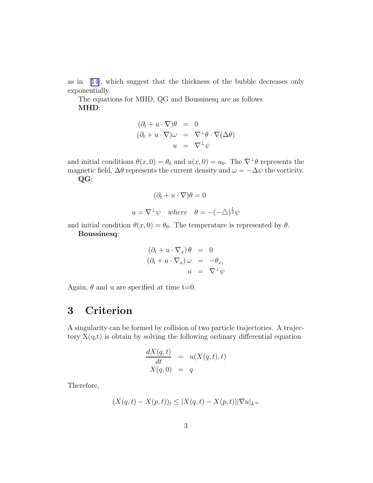as in[[14\]](#page-7-0), which suggest that the thickness of the bubble decreases only exponentially.

The equations for MHD, QG and Boussinesq are as follows MHD:

$$
(\partial_t + u \cdot \nabla)\theta = 0
$$
  

$$
(\partial_t + u \cdot \nabla)\omega = \nabla^{\perp}\theta \cdot \nabla(\Delta\theta)
$$
  

$$
u = \nabla^{\perp}\psi
$$

and initial conditions  $\theta(x, 0) = \theta_0$  and  $u(x, 0) = u_0$ . The  $\nabla^{\perp} \theta$  represents the magnetic field,  $\Delta\theta$  represents the current density and  $\omega = -\Delta\psi$  the vorticity. QG:

$$
(\partial_t + u \cdot \nabla)\theta = 0
$$
  
  $u = \nabla^{\perp}\psi$  where  $\theta = -(-\triangle)^{\frac{1}{2}}\psi$ 

and initial condition  $\theta(x, 0) = \theta_0$ . The temperature is represented by  $\theta$ .

Boussinesq:

$$
(\partial_t + u \cdot \nabla_x) \theta = 0
$$
  

$$
(\partial_t + u \cdot \nabla_x) \omega = -\theta_{x_1}
$$
  

$$
u = \nabla^{\perp} \psi
$$

Again,  $\theta$  and u are specified at time t=0.

## 3 Criterion

A singularity can be formed by collision of two particle trajectories. A trajectory  $X(q,t)$  is obtain by solving the following ordinary differential equation

$$
\frac{dX(q,t)}{dt} = u(X(q,t),t)
$$
  

$$
X(q,0) = q
$$

Therefore,

$$
(X(q,t) - X(p,t))_t \leq |X(q,t) - X(p,t)||\nabla u|_{L^{\infty}}
$$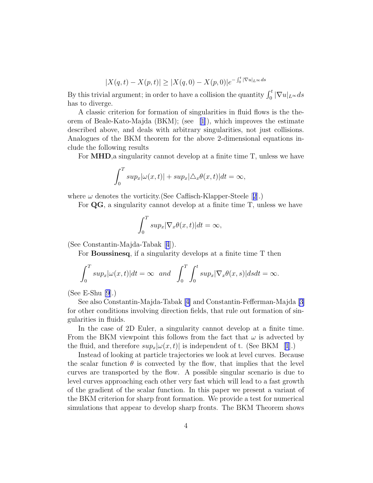$$
|X(q,t) - X(p,t)| \ge |X(q,0) - X(p,0)|e^{-\int_0^t |\nabla u|_{L^\infty} ds}
$$

By this trivial argument; in order to have a collision the quantity  $\int_0^t |\nabla u|_{L^\infty} ds$ has to diverge.

A classic criterion for formation of singularities in fluid flows is the theorem of Beale-Kato-Majda (BKM); (see [\[1](#page-6-0)]), which improves the estimate described above, and deals with arbitrary singularities, not just collisions. Analogues of the BKM theorem for the above 2-dimensional equations include the following results

For MHD,a singularity cannot develop at a finite time T, unless we have

$$
\int_0^T \sup_x |\omega(x,t)| + \sup_x |\triangle_x \theta(x,t)| dt = \infty,
$$

where $\omega$  denotes the vorticity. (See Caflisch-Klapper-Steele [[2](#page-6-0)].)

For QG, a singularity cannot develop at a finite time T, unless we have

$$
\int_0^T \sup_x |\nabla_x \theta(x, t)| dt = \infty,
$$

(See Constantin-Majda-Tabak[[4](#page-6-0)]).

For Boussinesq, if a singularity develops at a finite time T then

$$
\int_0^T \sup_x |\omega(x,t)| dt = \infty \text{ and } \int_0^T \int_0^t \sup_x |\nabla_x \theta(x,s)| ds dt = \infty.
$$

(See E-Shu [\[9](#page-7-0)].)

See also Constantin-Majda-Tabak [\[4\]](#page-6-0) and Constantin-Fefferman-Majda [\[3\]](#page-6-0) for other conditions involving direction fields, that rule out formation of singularities in fluids.

In the case of 2D Euler, a singularity cannot develop at a finite time. From the BKM viewpoint this follows from the fact that  $\omega$  is advected by thefluid, and therefore  $sup_x|\omega(x,t)|$  is independent of t. (See BKM [[1](#page-6-0)].)

Instead of looking at particle trajectories we look at level curves. Because the scalar function  $\theta$  is convected by the flow, that implies that the level curves are transported by the flow. A possible singular scenario is due to level curves approaching each other very fast which will lead to a fast growth of the gradient of the scalar function. In this paper we present a variant of the BKM criterion for sharp front formation. We provide a test for numerical simulations that appear to develop sharp fronts. The BKM Theorem shows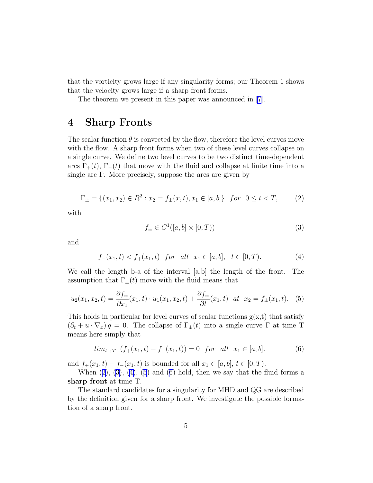<span id="page-4-0"></span>that the vorticity grows large if any singularity forms; our Theorem 1 shows that the velocity grows large if a sharp front forms.

The theorem we present in this paper was announced in [\[7](#page-7-0)].

#### 4 Sharp Fronts

The scalar function  $\theta$  is convected by the flow, therefore the level curves move with the flow. A sharp front forms when two of these level curves collapse on a single curve. We define two level curves to be two distinct time-dependent arcs  $\Gamma_+(t)$ ,  $\Gamma_-(t)$  that move with the fluid and collapse at finite time into a single arc  $\Gamma$ . More precisely, suppose the arcs are given by

$$
\Gamma_{\pm} = \{(x_1, x_2) \in R^2 : x_2 = f_{\pm}(x, t), x_1 \in [a, b]\} \text{ for } 0 \le t < T,
$$
 (2)

with

$$
f_{\pm} \in C^{1}([a, b] \times [0, T))
$$
\n
$$
(3)
$$

and

$$
f_{-}(x_1, t) < f_{+}(x_1, t) \quad \text{for all} \quad x_1 \in [a, b], \quad t \in [0, T). \tag{4}
$$

We call the length b-a of the interval [a,b] the length of the front. The assumption that  $\Gamma_{\pm}(t)$  move with the fluid means that

$$
u_2(x_1, x_2, t) = \frac{\partial f_{\pm}}{\partial x_1}(x_1, t) \cdot u_1(x_1, x_2, t) + \frac{\partial f_{\pm}}{\partial t}(x_1, t) \quad at \quad x_2 = f_{\pm}(x_1, t). \tag{5}
$$

This holds in particular for level curves of scalar functions  $g(x,t)$  that satisfy  $(\partial_t + u \cdot \nabla_x) g = 0$ . The collapse of  $\Gamma_{\pm}(t)$  into a single curve  $\Gamma$  at time T means here simply that

$$
lim_{t \to T^{-}}(f_{+}(x_{1}, t) - f_{-}(x_{1}, t)) = 0 \quad for \quad all \quad x_{1} \in [a, b].
$$
 (6)

and  $f_+(x_1, t) - f_-(x_1, t)$  is bounded for all  $x_1 \in [a, b], t \in [0, T)$ .

When  $(2)$ ,  $(3)$ ,  $(4)$ ,  $(5)$  and  $(6)$  hold, then we say that the fluid forms a sharp front at time T.

The standard candidates for a singularity for MHD and QG are described by the definition given for a sharp front. We investigate the possible formation of a sharp front.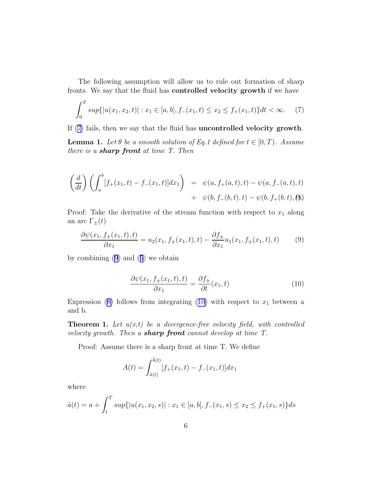<span id="page-5-0"></span>The following assumption will allow us to rule out formation of sharp fronts. We say that the fluid has controlled velocity growth if we have

$$
\int_0^T \sup\{|u(x_1, x_2, t)| : x_1 \in [a, b], f_-(x_1, t) \le x_2 \le f_+(x_1, t)\} dt < \infty.
$$
 (7)

If (7) fails, then we say that the fluid has uncontrolled velocity growth.

**Lemma 1.** Let  $\theta$  be a smooth solution of Eq.1 defined for  $t \in [0, T)$ . Assume there is a **sharp front** at time  $T$ . Then

$$
\left(\frac{d}{dt}\right) \left( \int_a^b [f_+(x_1,t) - f_-(x_1,t)] dx_1 \right) = \psi(a, f_+(a,t), t) - \psi(a, f_-(a,t), t) + \psi(b, f_-(b,t), t) - \psi(b, f_+(b,t), t)
$$

Proof: Take the derivative of the stream function with respect to  $x_1$  along an arc  $\Gamma_{\pm}(t)$ 

$$
\frac{\partial \psi(x_1, f_{\pm}(x_1, t), t)}{\partial x_1} = u_2(x_1, f_{\pm}(x_1, t), t) - \frac{\partial f_{\pm}}{\partial x_1} u_1(x_1, f_{\pm}(x_1, t), t)
$$
(9)

by combining (9) and([5](#page-4-0)) we obtain

$$
\frac{\partial \psi(x_1, f_\pm(x_1, t), t)}{\partial x_1} = \frac{\partial f_\pm}{\partial t}(x_1, t)
$$
\n(10)

Expression (8) follows from integrating (10) with respect to  $x_1$  between a and b.

**Theorem 1.** Let  $u(x,t)$  be a divergence-free velocity field, with controlled velocity growth. Then a **sharp front** cannot develop at time  $T$ .

Proof: Assume there is a sharp front at time T. We define

$$
A(t) = \int_{\tilde{a}(t)}^{\tilde{b}(t)} [f_{+}(x_1, t) - f_{-}(x_1, t)] dx_1
$$

where

$$
\tilde{a}(t) = a + \int_t^T \sup\{|u(x_1, x_2, s)| : x_1 \in [a, b], f_-(x_1, s) \le x_2 \le f_+(x_1, s)\}\,ds
$$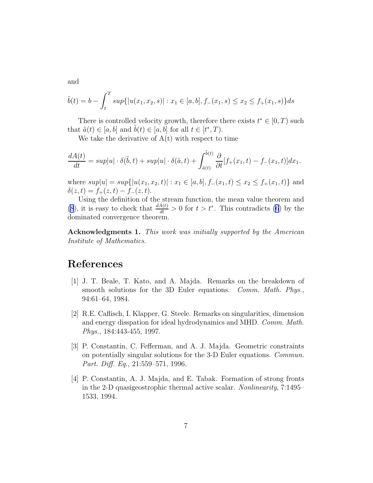<span id="page-6-0"></span>and

$$
\tilde{b}(t) = b - \int_t^T \sup\{|u(x_1, x_2, s)| : x_1 \in [a, b], f_-(x_1, s) \le x_2 \le f_+(x_1, s)\} ds
$$

There is controlled velocity growth, therefore there exists  $t^* \in [0, T)$  such that  $\tilde{a}(t) \in [a, b]$  and  $\tilde{b}(t) \in [a, b]$  for all  $t \in [t^*, T)$ .

We take the derivative of  $A(t)$  with respect to time

$$
\frac{dA(t)}{dt} = sup|u| \cdot \delta(\tilde{b}, t) + sup|u| \cdot \delta(\tilde{a}, t) + \int_{\tilde{a}(t)}^{\tilde{b}(t)} \frac{\partial}{\partial t} [f_+(x_1, t) - f_-(x_1, t)] dx_1.
$$

where  $sup|u| = sup\{|u(x_1, x_2, t)| : x_1 \in [a, b], f_-(x_1, t) \le x_2 \le f_+(x_1, t)\}\$ and  $\delta(z,t) = f_{+}(z,t) - f_{-}(z,t).$ 

Using the definition of the stream function, the mean value theorem and [\(8](#page-5-0)), it is easy to check that  $\frac{dA(t)}{dt} > 0$  for  $t > t^*$ . This contradicts [\(6](#page-4-0)) by the dominated convergence theorem.

Acknowledgments 1. This work was initially supported by the American Institute of Mathematics.

### References

- [1] J. T. Beale, T. Kato, and A. Majda. Remarks on the breakdown of smooth solutions for the 3D Euler equations. *Comm. Math. Phys.*, 94:61–64, 1984.
- [2] R.E. Caflisch, I. Klapper, G. Steele. Remarks on singularities, dimension and energy disspation for ideal hydrodynamics and MHD. Comm. Math. Phys., 184:443-455, 1997.
- [3] P. Constantin, C. Fefferman, and A. J. Majda. Geometric constraints on potentially singular solutions for the 3-D Euler equations. Commun. Part. Diff. Eq., 21:559–571, 1996.
- [4] P. Constantin, A. J. Majda, and E. Tabak. Formation of strong fronts in the 2-D quasigeostrophic thermal active scalar. Nonlinearity, 7:1495– 1533, 1994.